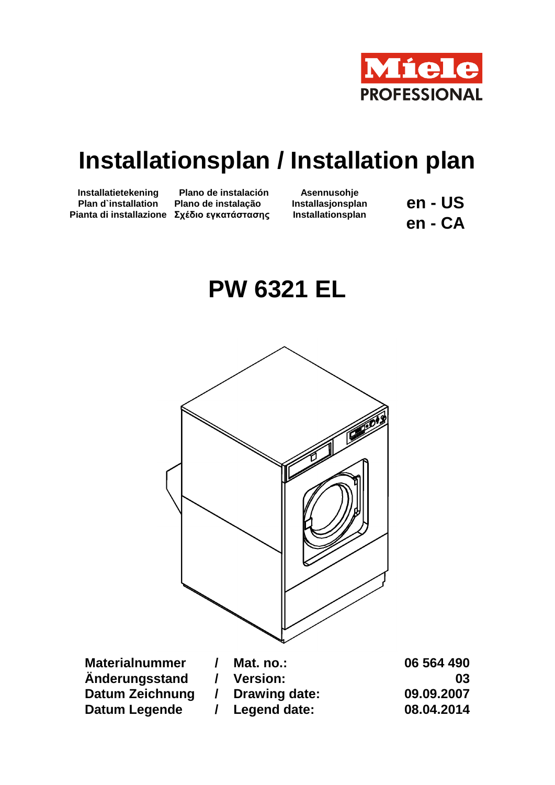

## **Installationsplan / Installation plan**

**Installatietekening Plan d`installation Pianta di installazione Σχέδιο εγκατάστασης**

**Plano de instalación Plano de instalação**

**Asennusohje Installasjonsplan Installationsplan**

**en - US en - CA**

## **PW 6321 EL**



**Materialnummer / Mat. no.: 06 564 490 Änderungsstand / Version: 03 Datum Zeichnung / Drawing date: 09.09.2007 Datum Legende / Legend date: 08.04.2014**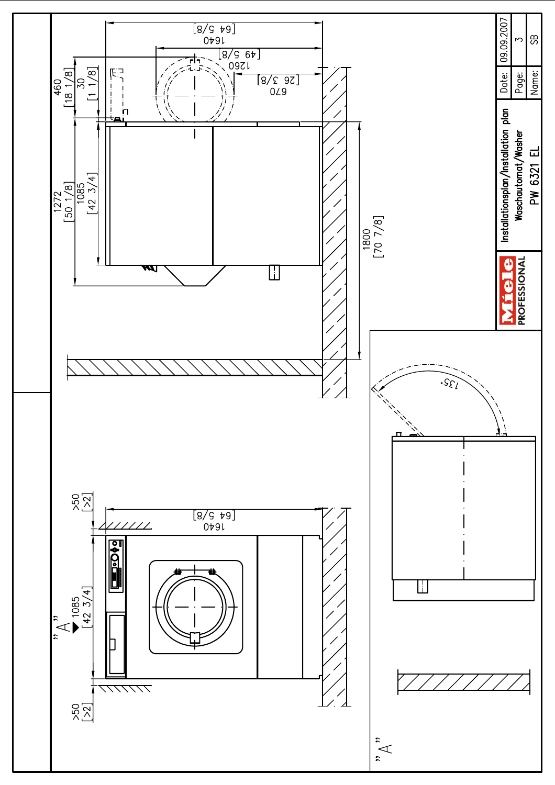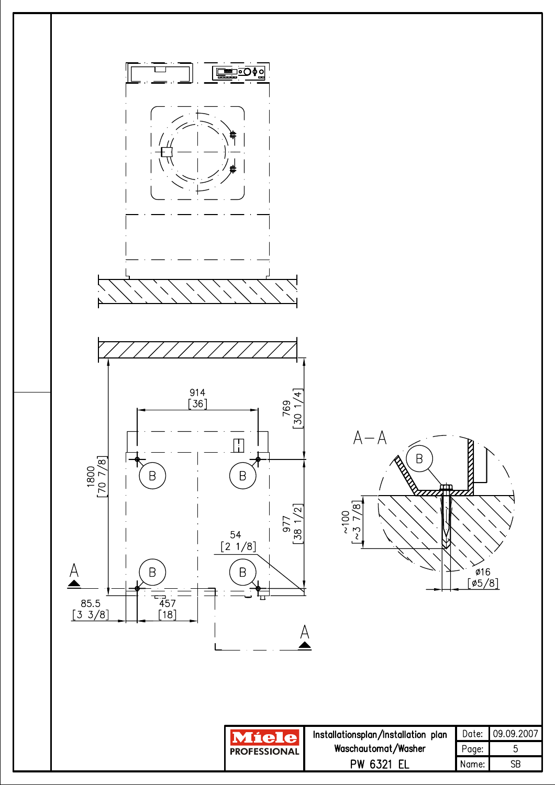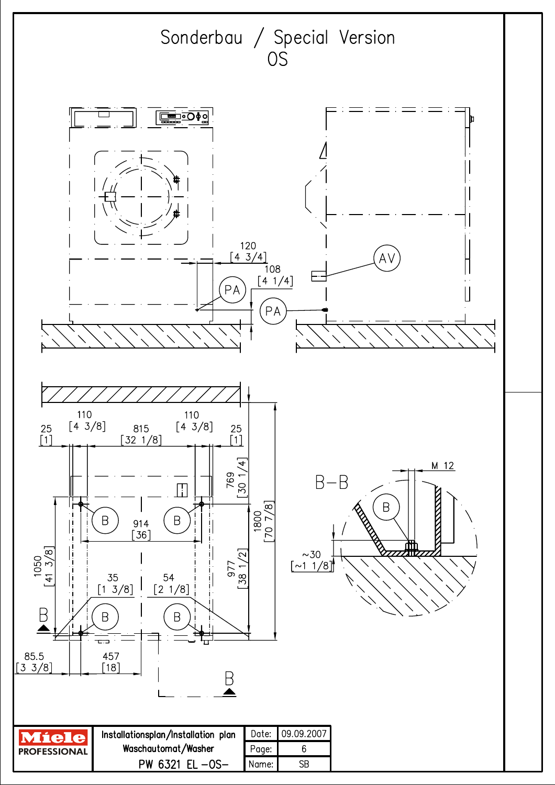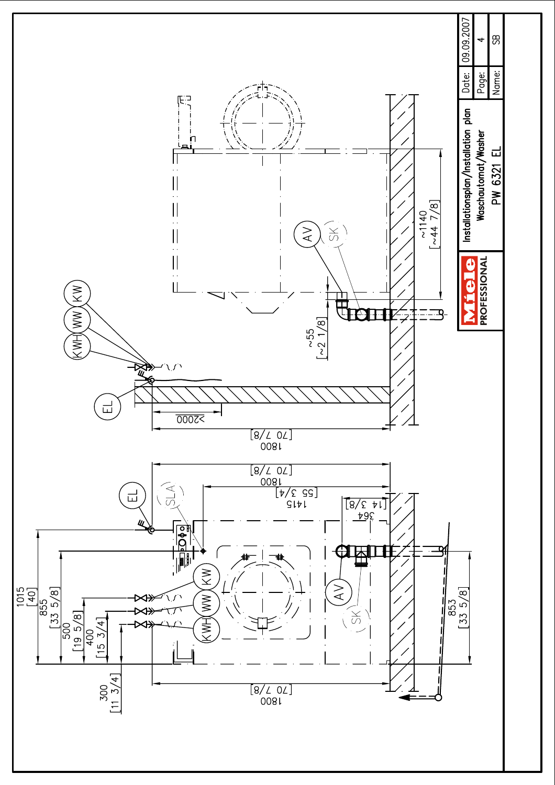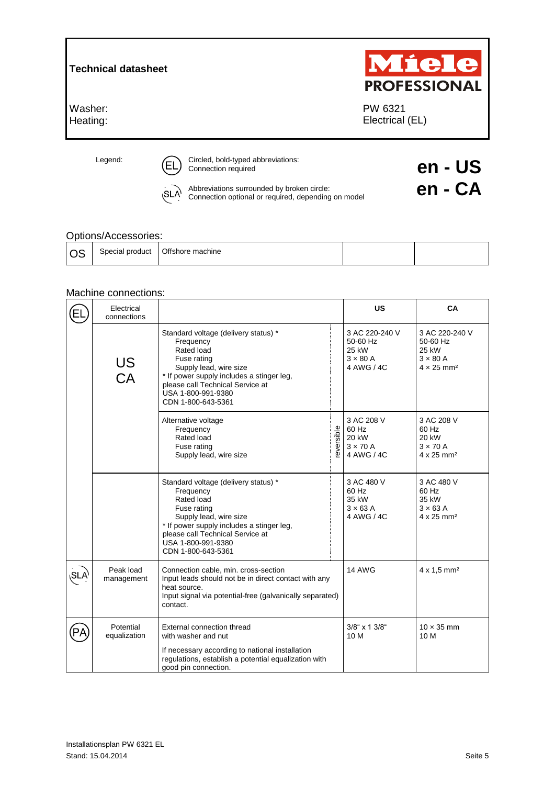| Miele<br><b>PROFESSIONAL</b> |  |  |
|------------------------------|--|--|
| PW 6321<br>Electrical (EL)   |  |  |
|                              |  |  |

Legend: CEL Circled, bold-typed abbreviations:<br>
Connection required **end end end end end end end end** 

Abbreviations surrounded by broken circle: **encompled by broken circle**<br>Connection optional or required, depending on model (SLA<sup>)</sup>

## Options/Accessories:

| -- | Special product | Offshore machine |  |  |
|----|-----------------|------------------|--|--|
|----|-----------------|------------------|--|--|

## Machine connections:

|            | Electrical<br>connections |                                                                                                                                                                                                                                       |           | <b>US</b>                                                            | CA                                                                                      |
|------------|---------------------------|---------------------------------------------------------------------------------------------------------------------------------------------------------------------------------------------------------------------------------------|-----------|----------------------------------------------------------------------|-----------------------------------------------------------------------------------------|
|            | US<br>CA                  | Standard voltage (delivery status) *<br>Frequency<br>Rated load<br>Fuse rating<br>Supply lead, wire size<br>* If power supply includes a stinger leg,<br>please call Technical Service at<br>USA 1-800-991-9380<br>CDN 1-800-643-5361 |           | 3 AC 220-240 V<br>50-60 Hz<br>25 kW<br>$3 \times 80$ A<br>4 AWG / 4C | 3 AC 220-240 V<br>50-60 Hz<br>25 kW<br>$3 \times 80$ A<br>$4 \times 25$ mm <sup>2</sup> |
|            |                           | Alternative voltage<br>Frequency<br>Rated load<br>Fuse rating<br>Supply lead, wire size                                                                                                                                               | eversible | 3 AC 208 V<br>60 Hz<br>20 kW<br>$3 \times 70$ A<br>4 AWG / 4C        | 3 AC 208 V<br>60 Hz<br>20 kW<br>$3 \times 70$ A<br>$4 \times 25$ mm <sup>2</sup>        |
|            |                           | Standard voltage (delivery status) *<br>Frequency<br>Rated load<br>Fuse rating<br>Supply lead, wire size<br>* If power supply includes a stinger leg,<br>please call Technical Service at<br>USA 1-800-991-9380<br>CDN 1-800-643-5361 |           | 3 AC 480 V<br>60 Hz<br>35 kW<br>$3 \times 63$ A<br>4 AWG / 4C        | 3 AC 480 V<br>60 Hz<br>35 kW<br>$3 \times 63$ A<br>4 x 25 mm <sup>2</sup>               |
| <b>SLA</b> | Peak load<br>management   | Connection cable, min. cross-section<br>Input leads should not be in direct contact with any<br>heat source.<br>Input signal via potential-free (galvanically separated)<br>contact.                                                  |           | <b>14 AWG</b>                                                        | $4 \times 1,5$ mm <sup>2</sup>                                                          |
|            | Potential<br>equalization | External connection thread<br>with washer and nut<br>If necessary according to national installation<br>regulations, establish a potential equalization with<br>good pin connection.                                                  |           | 3/8" x 1 3/8"<br>10 M                                                | $10 \times 35$ mm<br>10 M                                                               |